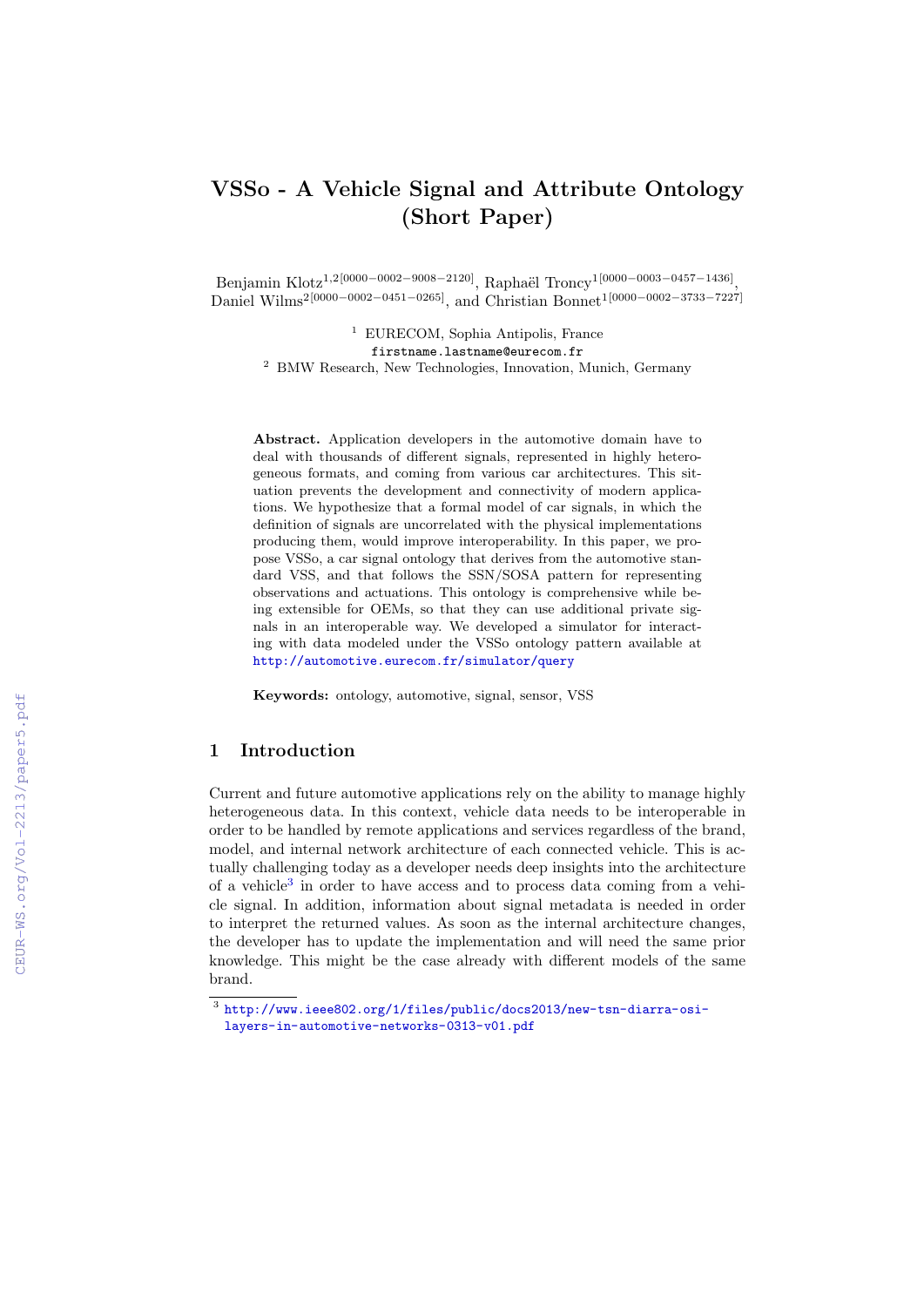# VSSo - A Vehicle Signal and Attribute Ontology (Short Paper)

Benjamin Klotz<sup>1,2[0000–0002–9008–2120]</sup>, Raphaël Troncy<sup>1[0000–0003–0457–1436]</sup>, Daniel Wilms2[0000−0002−0451−0265], and Christian Bonnet1[0000−0002−3733−7227]

<sup>1</sup> EURECOM, Sophia Antipolis, France firstname.lastname@eurecom.fr <sup>2</sup> BMW Research, New Technologies, Innovation, Munich, Germany

Abstract. Application developers in the automotive domain have to deal with thousands of different signals, represented in highly heterogeneous formats, and coming from various car architectures. This situation prevents the development and connectivity of modern applications. We hypothesize that a formal model of car signals, in which the definition of signals are uncorrelated with the physical implementations producing them, would improve interoperability. In this paper, we propose VSSo, a car signal ontology that derives from the automotive standard VSS, and that follows the SSN/SOSA pattern for representing observations and actuations. This ontology is comprehensive while being extensible for OEMs, so that they can use additional private signals in an interoperable way. We developed a simulator for interacting with data modeled under the VSSo ontology pattern available at <http://automotive.eurecom.fr/simulator/query>

Keywords: ontology, automotive, signal, sensor, VSS

# 1 Introduction

Current and future automotive applications rely on the ability to manage highly heterogeneous data. In this context, vehicle data needs to be interoperable in order to be handled by remote applications and services regardless of the brand, model, and internal network architecture of each connected vehicle. This is actually challenging today as a developer needs deep insights into the architecture of a vehicle<sup>[3](#page-0-0)</sup> in order to have access and to process data coming from a vehicle signal. In addition, information about signal metadata is needed in order to interpret the returned values. As soon as the internal architecture changes, the developer has to update the implementation and will need the same prior knowledge. This might be the case already with different models of the same brand.

<span id="page-0-0"></span> $^3$  [http://www.ieee802.org/1/files/public/docs2013/new-tsn-diarra-osi](http://www.ieee802.org/1/files/public/docs2013/new-tsn-diarra-osi-layers-in-automotive-networks-0313-v01.pdf)[layers-in-automotive-networks-0313-v01.pdf](http://www.ieee802.org/1/files/public/docs2013/new-tsn-diarra-osi-layers-in-automotive-networks-0313-v01.pdf)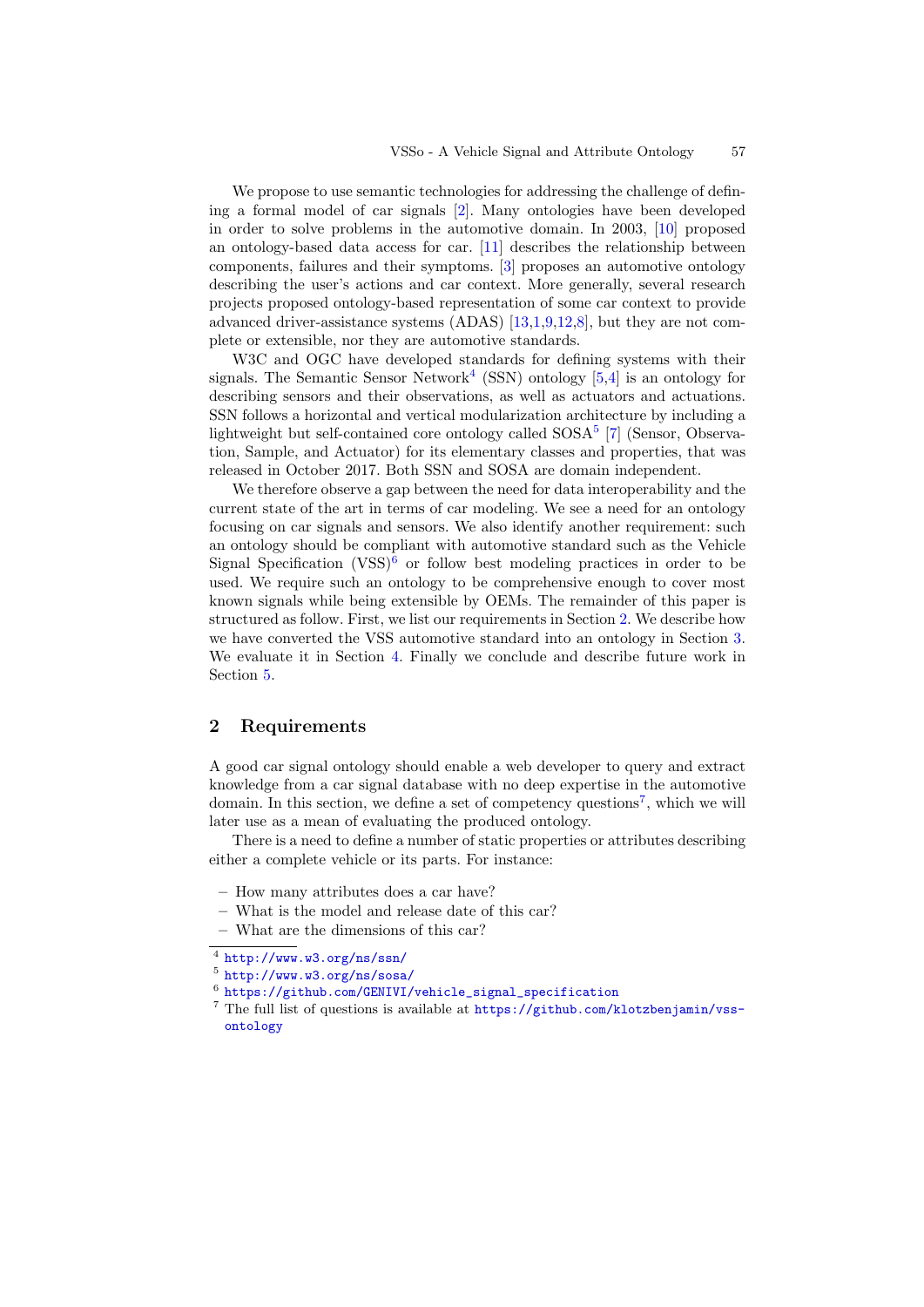We propose to use semantic technologies for addressing the challenge of defining a formal model of car signals [\[2\]](#page-7-0). Many ontologies have been developed in order to solve problems in the automotive domain. In 2003, [\[10\]](#page-7-1) proposed an ontology-based data access for car. [\[11\]](#page-7-2) describes the relationship between components, failures and their symptoms. [\[3\]](#page-7-3) proposes an automotive ontology describing the user's actions and car context. More generally, several research projects proposed ontology-based representation of some car context to provide advanced driver-assistance systems (ADAS) [\[13,](#page-7-4)[1,](#page-7-5)[9](#page-7-6)[,12,](#page-7-7)[8\]](#page-7-8), but they are not complete or extensible, nor they are automotive standards.

W3C and OGC have developed standards for defining systems with their signals. The Semantic Sensor Network<sup>[4](#page-1-0)</sup> (SSN) ontology  $[5,4]$  $[5,4]$  is an ontology for describing sensors and their observations, as well as actuators and actuations. SSN follows a horizontal and vertical modularization architecture by including a lightweight but self-contained core ontology called SOSA<sup>[5](#page-1-1)</sup> [\[7\]](#page-7-11) (Sensor, Observation, Sample, and Actuator) for its elementary classes and properties, that was released in October 2017. Both SSN and SOSA are domain independent.

We therefore observe a gap between the need for data interoperability and the current state of the art in terms of car modeling. We see a need for an ontology focusing on car signals and sensors. We also identify another requirement: such an ontology should be compliant with automotive standard such as the Vehicle Signal Specification  $(VSS)^6$  $(VSS)^6$  or follow best modeling practices in order to be used. We require such an ontology to be comprehensive enough to cover most known signals while being extensible by OEMs. The remainder of this paper is structured as follow. First, we list our requirements in Section [2.](#page-1-3) We describe how we have converted the VSS automotive standard into an ontology in Section [3.](#page-2-0) We evaluate it in Section [4.](#page-6-0) Finally we conclude and describe future work in Section [5.](#page-6-1)

## <span id="page-1-3"></span>2 Requirements

A good car signal ontology should enable a web developer to query and extract knowledge from a car signal database with no deep expertise in the automotive domain. In this section, we define a set of competency questions<sup>[7](#page-1-4)</sup>, which we will later use as a mean of evaluating the produced ontology.

There is a need to define a number of static properties or attributes describing either a complete vehicle or its parts. For instance:

- How many attributes does a car have?
- What is the model and release date of this car?
- What are the dimensions of this car?

- <span id="page-1-1"></span> $^5$  http://www.w $3.\texttt{org/ns/sosa/}$
- <span id="page-1-2"></span>6 [https://github.com/GENIVI/vehicle\\_signal\\_specification](https://github.com/GENIVI/vehicle_signal_specification)
- <span id="page-1-4"></span><sup>7</sup> The full list of questions is available at [https://github.com/klotzbenjamin/vss](https://github.com/klotzbenjamin/vss-ontology)[ontology](https://github.com/klotzbenjamin/vss-ontology)

<span id="page-1-0"></span><sup>4</sup> <http://www.w3.org/ns/ssn/>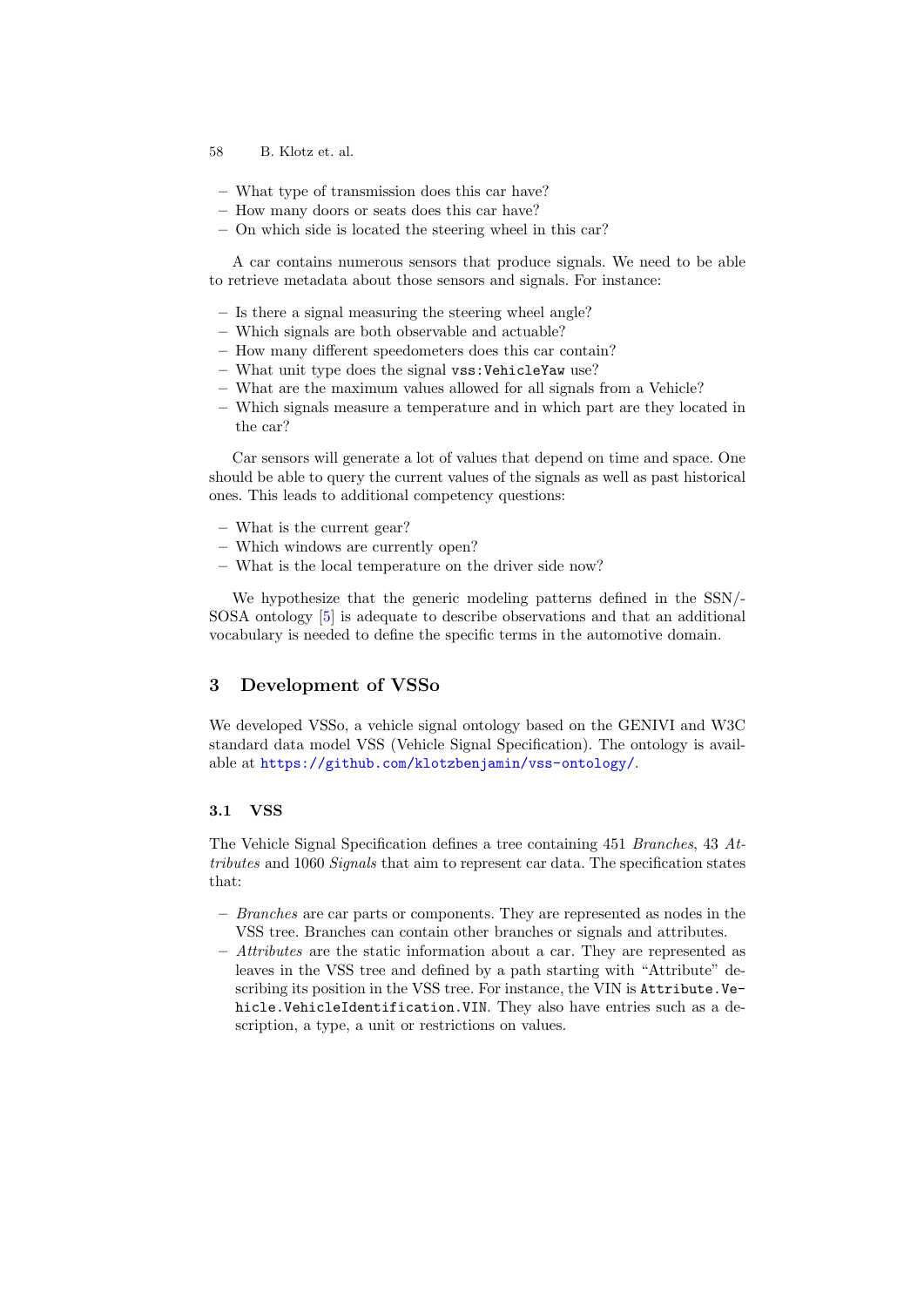58 B. Klotz et. al.

- What type of transmission does this car have?
- How many doors or seats does this car have?
- On which side is located the steering wheel in this car?

A car contains numerous sensors that produce signals. We need to be able to retrieve metadata about those sensors and signals. For instance:

- Is there a signal measuring the steering wheel angle?
- Which signals are both observable and actuable?
- How many different speedometers does this car contain?
- What unit type does the signal vss:VehicleYaw use?
- What are the maximum values allowed for all signals from a Vehicle?
- Which signals measure a temperature and in which part are they located in the car?

Car sensors will generate a lot of values that depend on time and space. One should be able to query the current values of the signals as well as past historical ones. This leads to additional competency questions:

- What is the current gear?
- Which windows are currently open?
- What is the local temperature on the driver side now?

We hypothesize that the generic modeling patterns defined in the SSN/- SOSA ontology [\[5\]](#page-7-9) is adequate to describe observations and that an additional vocabulary is needed to define the specific terms in the automotive domain.

## <span id="page-2-0"></span>3 Development of VSSo

We developed VSSo, a vehicle signal ontology based on the GENIVI and W3C standard data model VSS (Vehicle Signal Specification). The ontology is available at <https://github.com/klotzbenjamin/vss-ontology/>.

## 3.1 VSS

The Vehicle Signal Specification defines a tree containing 451 Branches, 43 Attributes and 1060 Signals that aim to represent car data. The specification states that:

- Branches are car parts or components. They are represented as nodes in the VSS tree. Branches can contain other branches or signals and attributes.
- Attributes are the static information about a car. They are represented as leaves in the VSS tree and defined by a path starting with "Attribute" describing its position in the VSS tree. For instance, the VIN is Attribute. Vehicle.VehicleIdentification.VIN. They also have entries such as a description, a type, a unit or restrictions on values.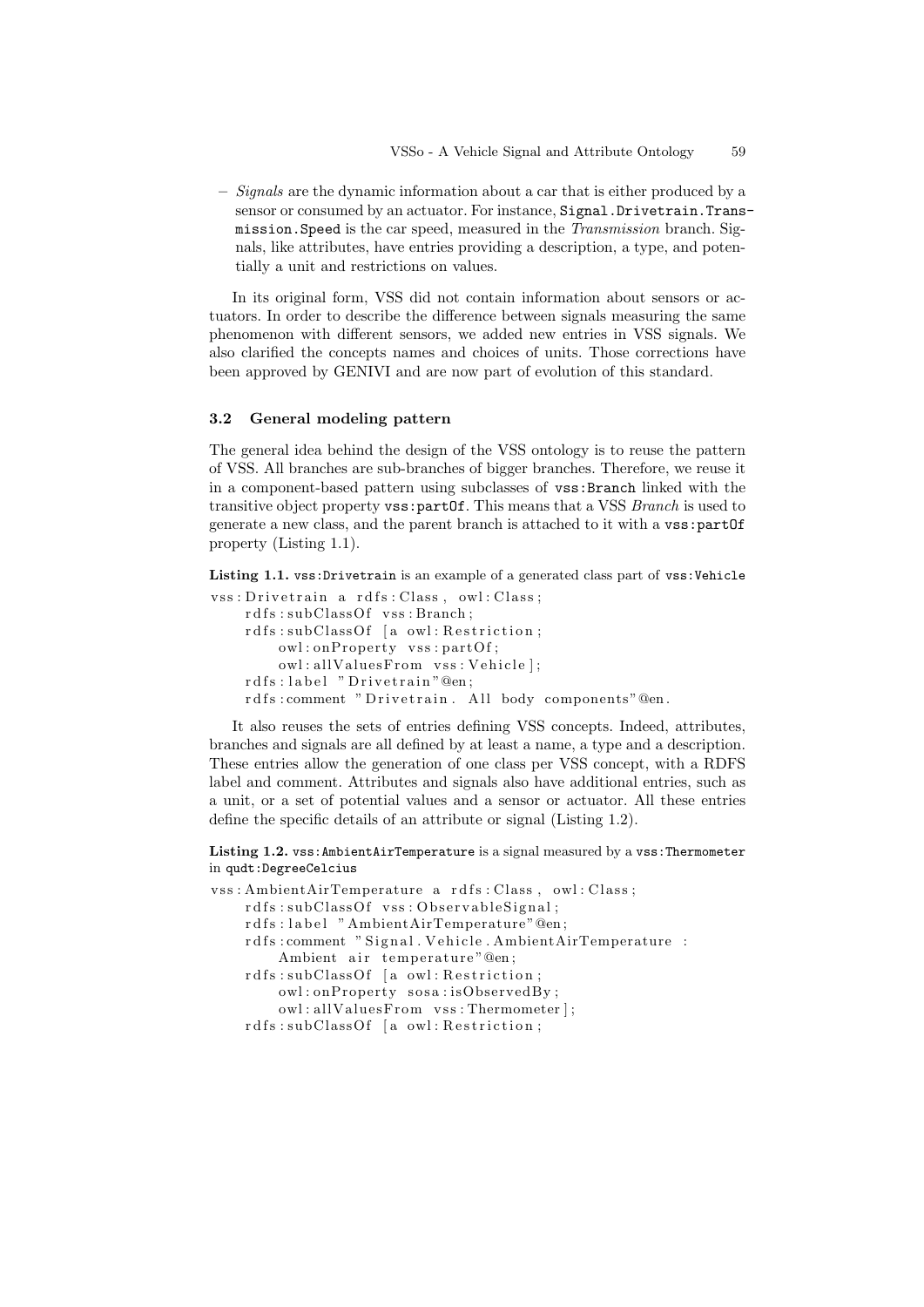– Signals are the dynamic information about a car that is either produced by a sensor or consumed by an actuator. For instance, Signal.Drivetrain.Transmission.Speed is the car speed, measured in the Transmission branch. Signals, like attributes, have entries providing a description, a type, and potentially a unit and restrictions on values.

In its original form, VSS did not contain information about sensors or actuators. In order to describe the difference between signals measuring the same phenomenon with different sensors, we added new entries in VSS signals. We also clarified the concepts names and choices of units. Those corrections have been approved by GENIVI and are now part of evolution of this standard.

#### 3.2 General modeling pattern

The general idea behind the design of the VSS ontology is to reuse the pattern of VSS. All branches are sub-branches of bigger branches. Therefore, we reuse it in a component-based pattern using subclasses of vss:Branch linked with the transitive object property vss: partOf. This means that a VSS Branch is used to generate a new class, and the parent branch is attached to it with a vss:partOf property (Listing 1.1).

Listing 1.1. vss: Drivetrain is an example of a generated class part of vss: Vehicle

```
vss : Drivetrain a rdfs : Class, owl : Class;
    rdfs: subClassOf vss: Branch;
    rdfs:subClassOf [a owl: Restriction;
        owl: on Property vss: partOf;
        owl: allValuesFrom vss: Vehicle |;
    rdfs: label "Drivetrain"@en;
    rdfs: comment " Drivetrain. All body components"@en.
```
It also reuses the sets of entries defining VSS concepts. Indeed, attributes, branches and signals are all defined by at least a name, a type and a description. These entries allow the generation of one class per VSS concept, with a RDFS label and comment. Attributes and signals also have additional entries, such as a unit, or a set of potential values and a sensor or actuator. All these entries define the specific details of an attribute or signal (Listing 1.2).

Listing 1.2. vss: AmbientAirTemperature is a signal measured by a vss: Thermometer in qudt:DegreeCelcius

```
vss : AmbientAirTemperature a rdfs : Class, owl : Class;
    rdfs:subClassOf vss: ObservableSignal;
    rdfs:label "AmbientAirTemperature"@en;
    rdfs: comment "Signal. Vehicle. AmbientAirTemperature:
        Ambient air temperature"@en;
    rdfs:subClassOf [a owl: Restriction;
        owl: onProperty sosa: isObservedBy;
        owl: allValuesFrom vss: Thermometer ];
    rdfs:subClassOf [a owl: Restriction;
```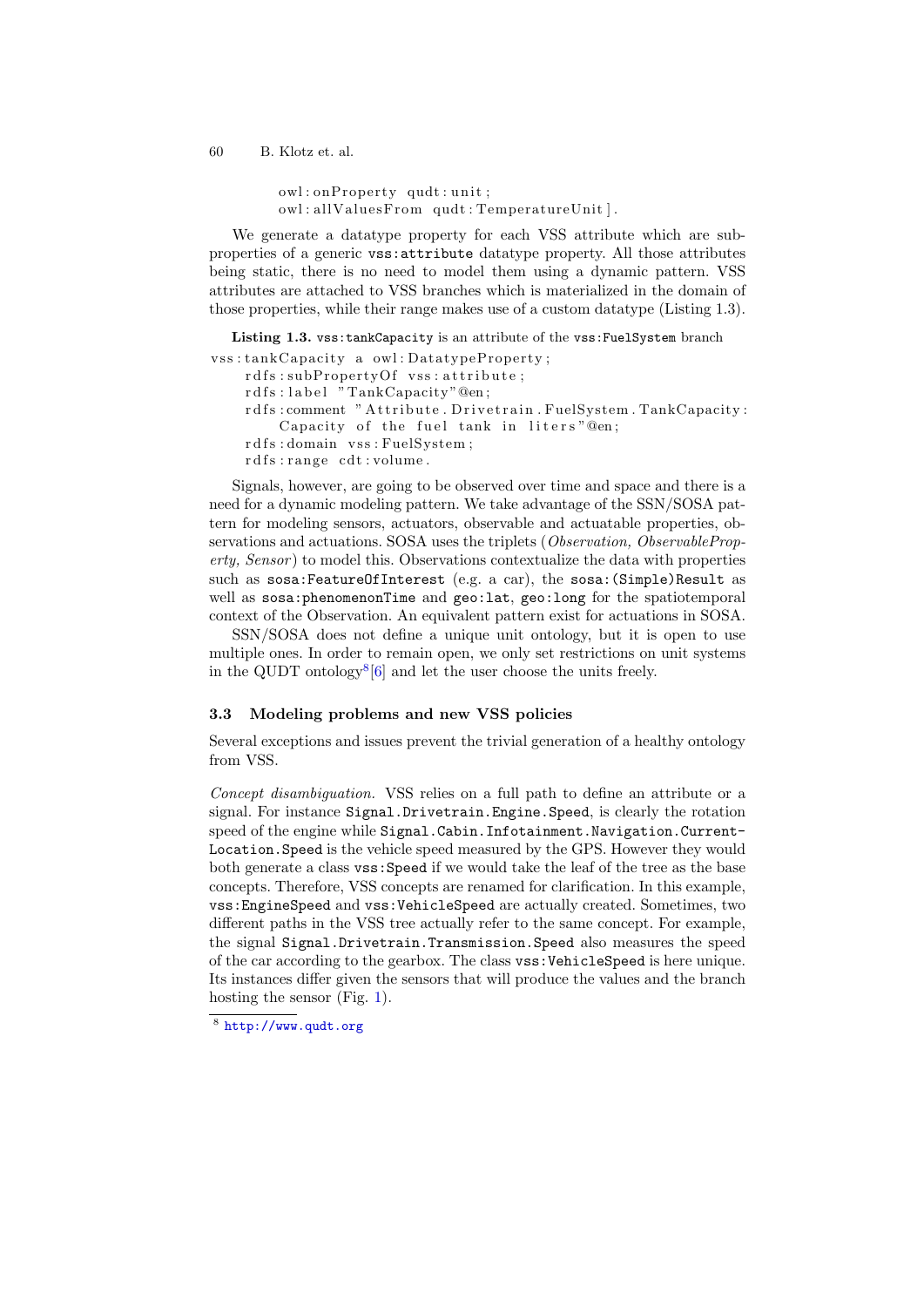60 B. Klotz et. al.

owl: on Property qudt: unit; owl: allValuesFrom qudt: TemperatureUnit ].

We generate a datatype property for each VSS attribute which are subproperties of a generic vss:attribute datatype property. All those attributes being static, there is no need to model them using a dynamic pattern. VSS attributes are attached to VSS branches which is materialized in the domain of those properties, while their range makes use of a custom datatype (Listing 1.3).

Listing 1.3. vss:tankCapacity is an attribute of the vss:FuelSystem branch

```
vss:tankCapacity a owl:DatatypeProperty;
    rdfs:subPropertyOf vss: attribute;
    rdfs: label "TankCapacity"@en;
    rdfs: comment " Attribute. Drivetrain. FuelSystem. TankCapacity:
        Capacity of the fuel tank in liters"@en;
    rdfs: domain vss: FuelSystem;
    rdfs: range cdt: volume.
```
Signals, however, are going to be observed over time and space and there is a need for a dynamic modeling pattern. We take advantage of the SSN/SOSA pattern for modeling sensors, actuators, observable and actuatable properties, observations and actuations. SOSA uses the triplets (Observation, ObservableProperty, Sensor) to model this. Observations contextualize the data with properties such as sosa:FeatureOfInterest (e.g. a car), the sosa: (Simple)Result as well as sosa:phenomenonTime and geo:lat, geo:long for the spatiotemporal context of the Observation. An equivalent pattern exist for actuations in SOSA.

SSN/SOSA does not define a unique unit ontology, but it is open to use multiple ones. In order to remain open, we only set restrictions on unit systems in the QUDT ontology<sup>[8](#page-4-0)</sup>[\[6\]](#page-7-12) and let the user choose the units freely.

#### 3.3 Modeling problems and new VSS policies

Several exceptions and issues prevent the trivial generation of a healthy ontology from VSS.

Concept disambiguation. VSS relies on a full path to define an attribute or a signal. For instance Signal.Drivetrain.Engine.Speed, is clearly the rotation speed of the engine while Signal.Cabin.Infotainment.Navigation.Current-Location.Speed is the vehicle speed measured by the GPS. However they would both generate a class vss:Speed if we would take the leaf of the tree as the base concepts. Therefore, VSS concepts are renamed for clarification. In this example, vss:EngineSpeed and vss:VehicleSpeed are actually created. Sometimes, two different paths in the VSS tree actually refer to the same concept. For example, the signal Signal.Drivetrain.Transmission.Speed also measures the speed of the car according to the gearbox. The class vss:VehicleSpeed is here unique. Its instances differ given the sensors that will produce the values and the branch hosting the sensor (Fig. [1\)](#page-5-0).

<span id="page-4-0"></span>8 <http://www.qudt.org>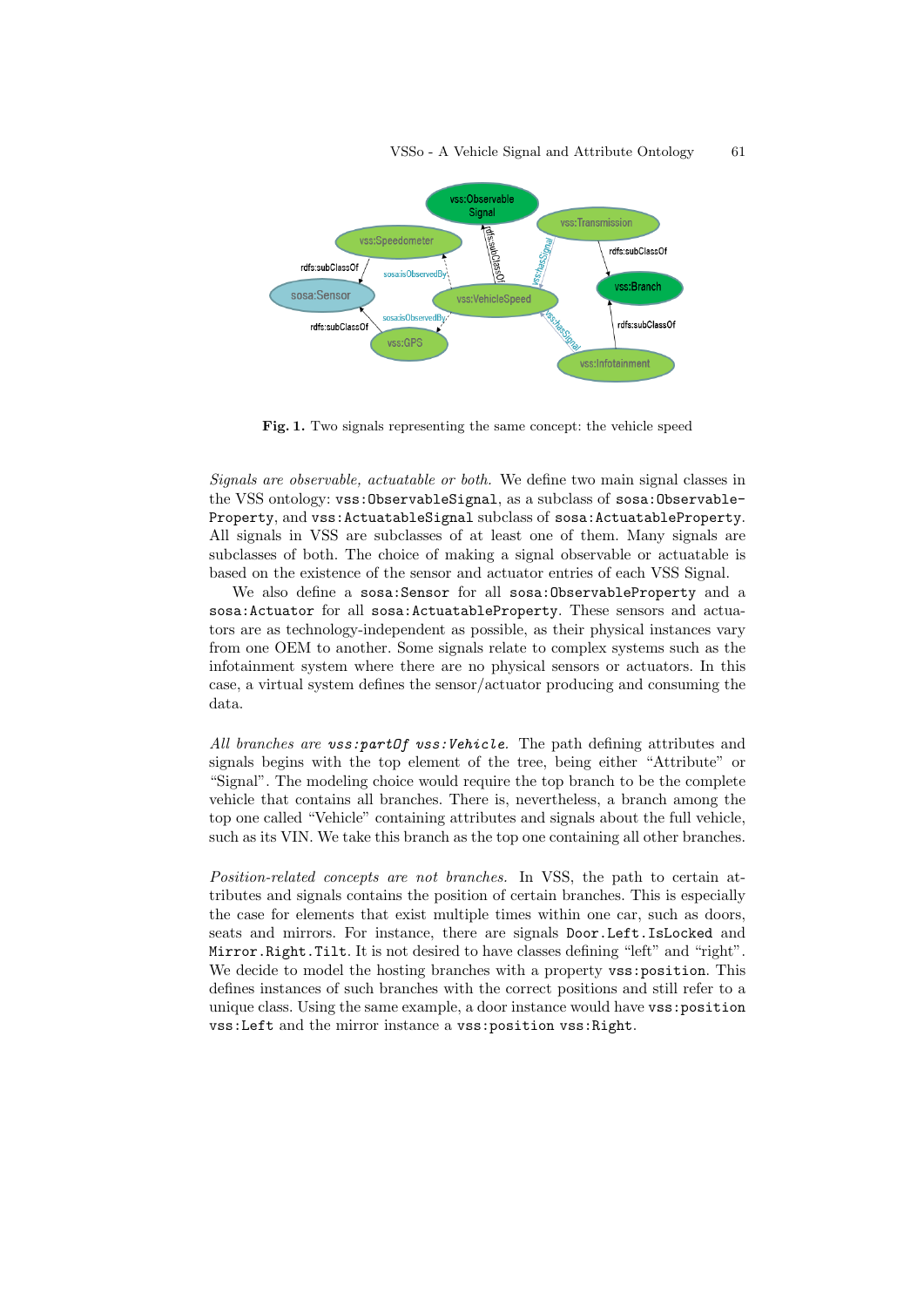

<span id="page-5-0"></span>Fig. 1. Two signals representing the same concept: the vehicle speed

Signals are observable, actuatable or both. We define two main signal classes in the VSS ontology: vss:ObservableSignal, as a subclass of sosa:Observable-Property, and vss:ActuatableSignal subclass of sosa:ActuatableProperty. All signals in VSS are subclasses of at least one of them. Many signals are subclasses of both. The choice of making a signal observable or actuatable is based on the existence of the sensor and actuator entries of each VSS Signal.

We also define a sosa: Sensor for all sosa: ObservableProperty and a sosa:Actuator for all sosa:ActuatableProperty. These sensors and actuators are as technology-independent as possible, as their physical instances vary from one OEM to another. Some signals relate to complex systems such as the infotainment system where there are no physical sensors or actuators. In this case, a virtual system defines the sensor/actuator producing and consuming the data.

All branches are  $\text{vs.}$  partOf vss: Vehicle. The path defining attributes and signals begins with the top element of the tree, being either "Attribute" or "Signal". The modeling choice would require the top branch to be the complete vehicle that contains all branches. There is, nevertheless, a branch among the top one called "Vehicle" containing attributes and signals about the full vehicle, such as its VIN. We take this branch as the top one containing all other branches.

Position-related concepts are not branches. In VSS, the path to certain attributes and signals contains the position of certain branches. This is especially the case for elements that exist multiple times within one car, such as doors, seats and mirrors. For instance, there are signals Door.Left.IsLocked and Mirror.Right.Tilt. It is not desired to have classes defining "left" and "right". We decide to model the hosting branches with a property vss: position. This defines instances of such branches with the correct positions and still refer to a unique class. Using the same example, a door instance would have vss: position vss:Left and the mirror instance a vss:position vss:Right.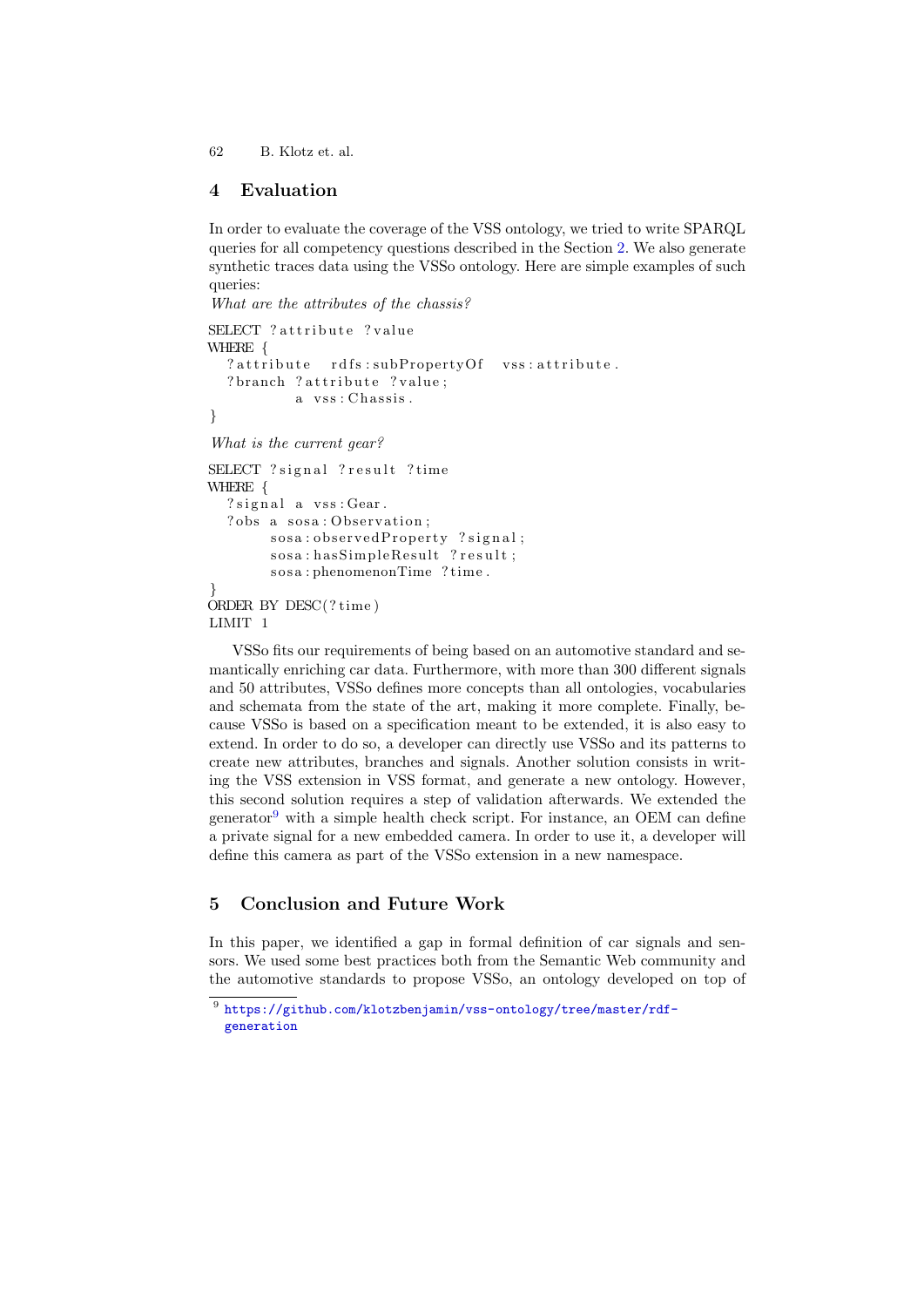62 B. Klotz et. al.

# <span id="page-6-0"></span>4 Evaluation

In order to evaluate the coverage of the VSS ontology, we tried to write SPARQL queries for all competency questions described in the Section [2.](#page-1-3) We also generate synthetic traces data using the VSSo ontology. Here are simple examples of such queries:

What are the attributes of the chassis?

```
SELECT ? attribute ? value
WHERE \{ ? attribute
                rdfs:subPropertyOf vss:attribute.
  ? branch ? attribute ? value;
            a vss: Chassis.
}
What is the current gear?
SELECT ? signal ? result ? time
WHERE {
  ? signal a vss: Gear.
  ? obs a sosa: Observation;
        sosa: observedProperty ? signal;
        sos a: {\tt has SimpleResult} ? {\tt result} ;
        sosa: phenomenonTime ? time.
}
ORDER BY DESC(? time )
LIMIT 1
```
VSSo fits our requirements of being based on an automotive standard and semantically enriching car data. Furthermore, with more than 300 different signals and 50 attributes, VSSo defines more concepts than all ontologies, vocabularies and schemata from the state of the art, making it more complete. Finally, because VSSo is based on a specification meant to be extended, it is also easy to extend. In order to do so, a developer can directly use VSSo and its patterns to create new attributes, branches and signals. Another solution consists in writing the VSS extension in VSS format, and generate a new ontology. However, this second solution requires a step of validation afterwards. We extended the generator<sup>[9](#page-6-2)</sup> with a simple health check script. For instance, an OEM can define a private signal for a new embedded camera. In order to use it, a developer will define this camera as part of the VSSo extension in a new namespace.

# <span id="page-6-1"></span>5 Conclusion and Future Work

In this paper, we identified a gap in formal definition of car signals and sensors. We used some best practices both from the Semantic Web community and the automotive standards to propose VSSo, an ontology developed on top of

<span id="page-6-2"></span> $^9$ [https://github.com/klotzbenjamin/vss-ontology/tree/master/rdf](https://github.com/klotzbenjamin/vss-ontology/tree/master/rdf-generation)[generation](https://github.com/klotzbenjamin/vss-ontology/tree/master/rdf-generation)